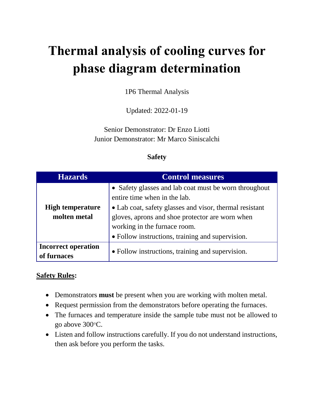# **Thermal analysis of cooling curves for phase diagram determination**

1P6 Thermal Analysis

Updated: 2022-01-19

Senior Demonstrator: Dr Enzo Liotti Junior Demonstrator: Mr Marco Siniscalchi

#### **Safety**

| <b>Hazards</b>                            | <b>Control measures</b>                                                                                                                                                                                                                                                                 |
|-------------------------------------------|-----------------------------------------------------------------------------------------------------------------------------------------------------------------------------------------------------------------------------------------------------------------------------------------|
| <b>High temperature</b><br>molten metal   | • Safety glasses and lab coat must be worn throughout<br>entire time when in the lab.<br>• Lab coat, safety glasses and visor, thermal resistant<br>gloves, aprons and shoe protector are worn when<br>working in the furnace room.<br>• Follow instructions, training and supervision. |
| <b>Incorrect operation</b><br>of furnaces | • Follow instructions, training and supervision.                                                                                                                                                                                                                                        |

#### **Safety Rules:**

- Demonstrators **must** be present when you are working with molten metal.
- Request permission from the demonstrators before operating the furnaces.
- The furnaces and temperature inside the sample tube must not be allowed to go above 300°C.
- Listen and follow instructions carefully. If you do not understand instructions, then ask before you perform the tasks.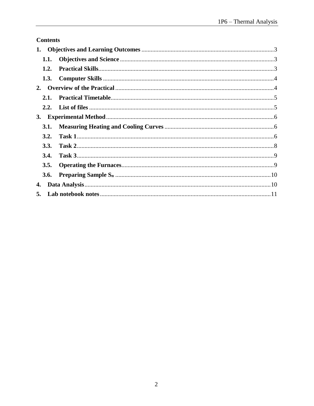# **Contents**

| 1.        |      |  |  |  |  |
|-----------|------|--|--|--|--|
|           | 1.1. |  |  |  |  |
|           | 1.2. |  |  |  |  |
|           | 1.3. |  |  |  |  |
| 2.        |      |  |  |  |  |
|           | 2.1. |  |  |  |  |
|           |      |  |  |  |  |
| <b>3.</b> |      |  |  |  |  |
|           | 3.1. |  |  |  |  |
|           | 3.2. |  |  |  |  |
|           | 3.3. |  |  |  |  |
|           | 3.4. |  |  |  |  |
|           | 3.5. |  |  |  |  |
|           | 3.6. |  |  |  |  |
| 4.        |      |  |  |  |  |
| 5.        |      |  |  |  |  |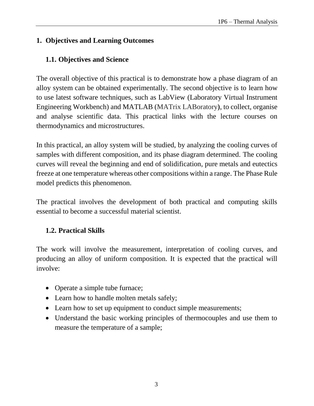## <span id="page-2-0"></span>**1. Objectives and Learning Outcomes**

# <span id="page-2-1"></span>**1.1. Objectives and Science**

The overall objective of this practical is to demonstrate how a phase diagram of an alloy system can be obtained experimentally. The second objective is to learn how to use latest software techniques, such as LabView (Laboratory Virtual Instrument Engineering Workbench) and MATLAB (MATrix LABoratory**)**, to collect, organise and analyse scientific data. This practical links with the lecture courses on thermodynamics and microstructures.

In this practical, an alloy system will be studied, by analyzing the cooling curves of samples with different composition, and its phase diagram determined. The cooling curves will reveal the beginning and end of solidification, pure metals and eutectics freeze at one temperature whereas other compositions within a range. The Phase Rule model predicts this phenomenon.

The practical involves the development of both practical and computing skills essential to become a successful material scientist.

# <span id="page-2-2"></span>**1.2. Practical Skills**

The work will involve the measurement, interpretation of cooling curves, and producing an alloy of uniform composition. It is expected that the practical will involve:

- Operate a simple tube furnace;
- Learn how to handle molten metals safely;
- Learn how to set up equipment to conduct simple measurements;
- Understand the basic working principles of thermocouples and use them to measure the temperature of a sample;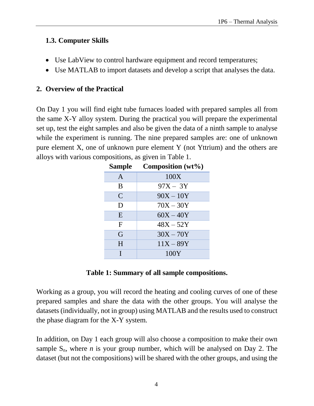#### <span id="page-3-0"></span>**1.3. Computer Skills**

- Use LabView to control hardware equipment and record temperatures;
- Use MATLAB to import datasets and develop a script that analyses the data.

## <span id="page-3-1"></span>**2. Overview of the Practical**

On Day 1 you will find eight tube furnaces loaded with prepared samples all from the same X-Y alloy system. During the practical you will prepare the experimental set up, test the eight samples and also be given the data of a ninth sample to analyse while the experiment is running. The nine prepared samples are: one of unknown pure element X, one of unknown pure element Y (not Yttrium) and the others are alloys with various compositions, as given in Table 1.

| <b>Sample</b> | Composition $(wt\%)$ |
|---------------|----------------------|
| $\mathsf{A}$  | 100X                 |
| B             | $97X - 3Y$           |
| $\mathcal{C}$ | $90X - 10Y$          |
| D             | $70X - 30Y$          |
| E             | $60X - 40Y$          |
| $\mathbf F$   | $48X - 52Y$          |
| G             | $30X - 70Y$          |
| H             | $11X - 89Y$          |
|               | 100Y                 |

### **Table 1: Summary of all sample compositions.**

Working as a group, you will record the heating and cooling curves of one of these prepared samples and share the data with the other groups. You will analyse the datasets (individually, not in group) using MATLAB and the results used to construct the phase diagram for the X-Y system.

In addition, on Day 1 each group will also choose a composition to make their own sample  $S_n$ , where *n* is your group number, which will be analysed on Day 2. The dataset (but not the compositions) will be shared with the other groups, and using the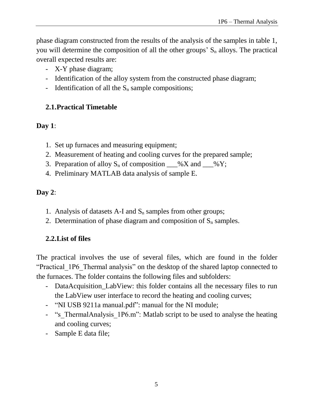phase diagram constructed from the results of the analysis of the samples in table 1, you will determine the composition of all the other groups'  $S_n$  alloys. The practical overall expected results are:

- X-Y phase diagram;
- Identification of the alloy system from the constructed phase diagram;
- Identification of all the  $S_n$  sample compositions;

# <span id="page-4-0"></span>**2.1.Practical Timetable**

## **Day 1**:

- 1. Set up furnaces and measuring equipment;
- 2. Measurement of heating and cooling curves for the prepared sample;
- 3. Preparation of alloy  $S_n$  of composition  $\_\_\% X$  and  $\_\_\% Y$ ;
- 4. Preliminary MATLAB data analysis of sample E.

# **Day 2**:

- 1. Analysis of datasets A-I and  $S_n$  samples from other groups;
- 2. Determination of phase diagram and composition of  $S_n$  samples.

# <span id="page-4-1"></span>**2.2.List of files**

The practical involves the use of several files, which are found in the folder "Practical 1P6 Thermal analysis" on the desktop of the shared laptop connected to the furnaces. The folder contains the following files and subfolders:

- DataAcquisition\_LabView: this folder contains all the necessary files to run the LabView user interface to record the heating and cooling curves;
- "NI USB 9211a manual.pdf": manual for the NI module;
- "s ThermalAnalysis\_1P6.m": Matlab script to be used to analyse the heating and cooling curves;
- Sample E data file;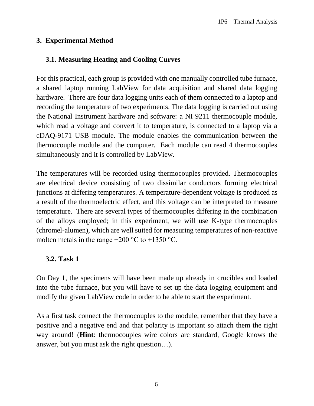### <span id="page-5-0"></span>**3. Experimental Method**

## <span id="page-5-1"></span>**3.1. Measuring Heating and Cooling Curves**

For this practical, each group is provided with one manually controlled tube furnace, a shared laptop running LabView for data acquisition and shared data logging hardware. There are four data logging units each of them connected to a laptop and recording the temperature of two experiments. The data logging is carried out using the National Instrument hardware and software: a NI 9211 thermocouple module, which read a voltage and convert it to temperature, is connected to a laptop via a cDAQ-9171 USB module. The module enables the communication between the thermocouple module and the computer. Each module can read 4 thermocouples simultaneously and it is controlled by LabView.

The temperatures will be recorded using thermocouples provided. Thermocouples are electrical device consisting of two dissimilar conductors forming electrical junctions at differing temperatures. A temperature-dependent voltage is produced as a result of the thermoelectric effect, and this voltage can be interpreted to measure temperature. There are several types of thermocouples differing in the combination of the alloys employed; in this experiment, we will use K-type thermocouples (chromel-alumen), which are well suited for measuring temperatures of non-reactive molten metals in the range  $-200$  °C to  $+1350$  °C.

### <span id="page-5-2"></span>**3.2. Task 1**

On Day 1, the specimens will have been made up already in crucibles and loaded into the tube furnace, but you will have to set up the data logging equipment and modify the given LabView code in order to be able to start the experiment.

As a first task connect the thermocouples to the module, remember that they have a positive and a negative end and that polarity is important so attach them the right way around! (**Hint**: thermocouples wire colors are standard, Google knows the answer, but you must ask the right question…).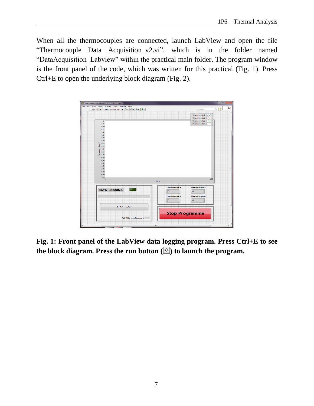When all the thermocouples are connected, launch LabView and open the file "Thermocouple Data Acquisition\_v2.vi", which is in the folder named "DataAcquisition\_Labview" within the practical main folder. The program window is the front panel of the code, which was written for this practical (Fig. 1). Press Ctrl+E to open the underlying block diagram (Fig. 2).



**Fig. 1: Front panel of the LabView data logging program. Press Ctrl+E to see**  the block diagram. Press the run button  $(\sqrt{\frac{1}{2}})$  to launch the program.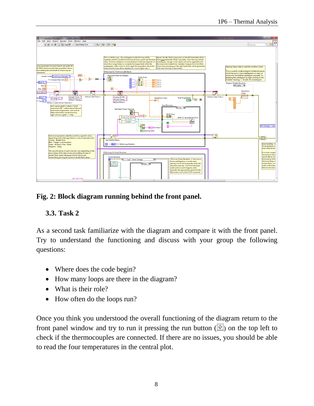

#### **Fig. 2: Block diagram running behind the front panel.**

#### <span id="page-7-0"></span>**3.3. Task 2**

As a second task familiarize with the diagram and compare it with the front panel. Try to understand the functioning and discuss with your group the following questions:

- Where does the code begin?
- How many loops are there in the diagram?
- What is their role?
- How often do the loops run?

Once you think you understood the overall functioning of the diagram return to the front panel window and try to run it pressing the run button  $(\overline{\mathbb{Q}})$  on the top left to check if the thermocouples are connected. If there are no issues, you should be able to read the four temperatures in the central plot.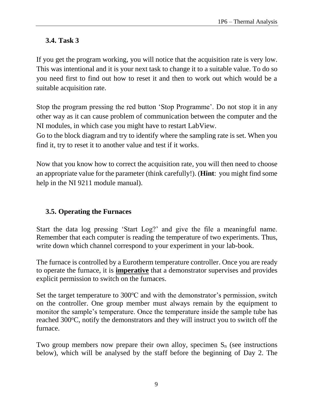## <span id="page-8-0"></span>**3.4. Task 3**

If you get the program working, you will notice that the acquisition rate is very low. This was intentional and it is your next task to change it to a suitable value. To do so you need first to find out how to reset it and then to work out which would be a suitable acquisition rate.

Stop the program pressing the red button 'Stop Programme'. Do not stop it in any other way as it can cause problem of communication between the computer and the NI modules, in which case you might have to restart LabView.

Go to the block diagram and try to identify where the sampling rate is set. When you find it, try to reset it to another value and test if it works.

Now that you know how to correct the acquisition rate, you will then need to choose an appropriate value for the parameter (think carefully!). (**Hint**: you might find some help in the NI 9211 module manual).

### <span id="page-8-1"></span>**3.5. Operating the Furnaces**

Start the data log pressing 'Start Log?' and give the file a meaningful name. Remember that each computer is reading the temperature of two experiments. Thus, write down which channel correspond to your experiment in your lab-book.

The furnace is controlled by a Eurotherm temperature controller. Once you are ready to operate the furnace, it is **imperative** that a demonstrator supervises and provides explicit permission to switch on the furnaces.

Set the target temperature to  $300^{\circ}$ C and with the demonstrator's permission, switch on the controller. One group member must always remain by the equipment to monitor the sample's temperature. Once the temperature inside the sample tube has reached 300°C, notify the demonstrators and they will instruct you to switch off the furnace.

Two group members now prepare their own alloy, specimen  $S_n$  (see instructions below), which will be analysed by the staff before the beginning of Day 2. The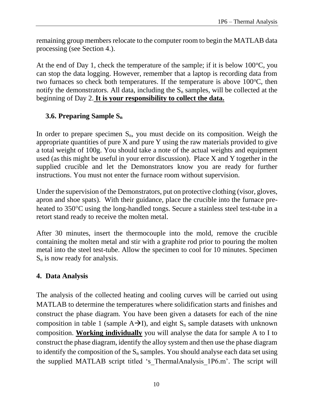remaining group members relocate to the computer room to begin the MATLAB data processing (see Section 4.).

At the end of Day 1, check the temperature of the sample; if it is below  $100^{\circ}$ C, you can stop the data logging. However, remember that a laptop is recording data from two furnaces so check both temperatures. If the temperature is above  $100^{\circ}$ C, then notify the demonstrators. All data, including the  $S_n$  samples, will be collected at the beginning of Day 2. **It is your responsibility to collect the data.**

# <span id="page-9-0"></span>**3.6. Preparing Sample S<sup>n</sup>**

In order to prepare specimen  $S_n$ , you must decide on its composition. Weigh the appropriate quantities of pure X and pure Y using the raw materials provided to give a total weight of 100g. You should take a note of the actual weights and equipment used (as this might be useful in your error discussion). Place X and Y together in the supplied crucible and let the Demonstrators know you are ready for further instructions. You must not enter the furnace room without supervision.

Under the supervision of the Demonstrators, put on protective clothing (visor, gloves, apron and shoe spats). With their guidance, place the crucible into the furnace preheated to 350°C using the long-handled tongs. Secure a stainless steel test-tube in a retort stand ready to receive the molten metal.

After 30 minutes, insert the thermocouple into the mold, remove the crucible containing the molten metal and stir with a graphite rod prior to pouring the molten metal into the steel test-tube. Allow the specimen to cool for 10 minutes. Specimen  $S_n$  is now ready for analysis.

### <span id="page-9-1"></span>**4. Data Analysis**

The analysis of the collected heating and cooling curves will be carried out using MATLAB to determine the temperatures where solidification starts and finishes and construct the phase diagram. You have been given a datasets for each of the nine composition in table 1 (sample  $A\rightarrow I$ ), and eight  $S_n$  sample datasets with unknown composition. **Working individually** you will analyse the data for sample A to I to construct the phase diagram, identify the alloy system and then use the phase diagram to identify the composition of the  $S_n$  samples. You should analyse each data set using the supplied MATLAB script titled 's\_ThermalAnalysis\_1P6.m'. The script will